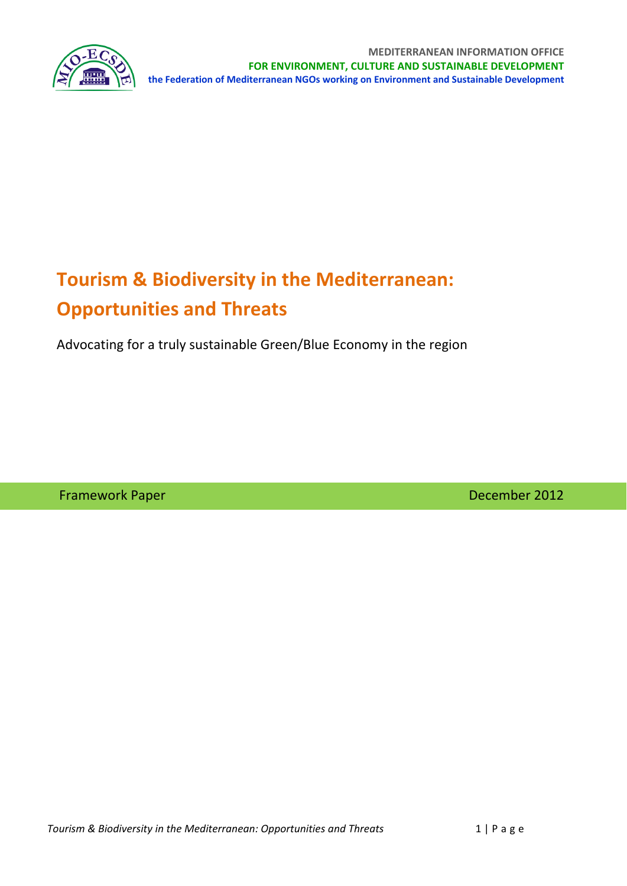

# **Tourism & Biodiversity in the Mediterranean: Opportunities and Threats**

Advocating for a truly sustainable Green/Blue Economy in the region

Framework Paper **The Community of the Community Community** December 2012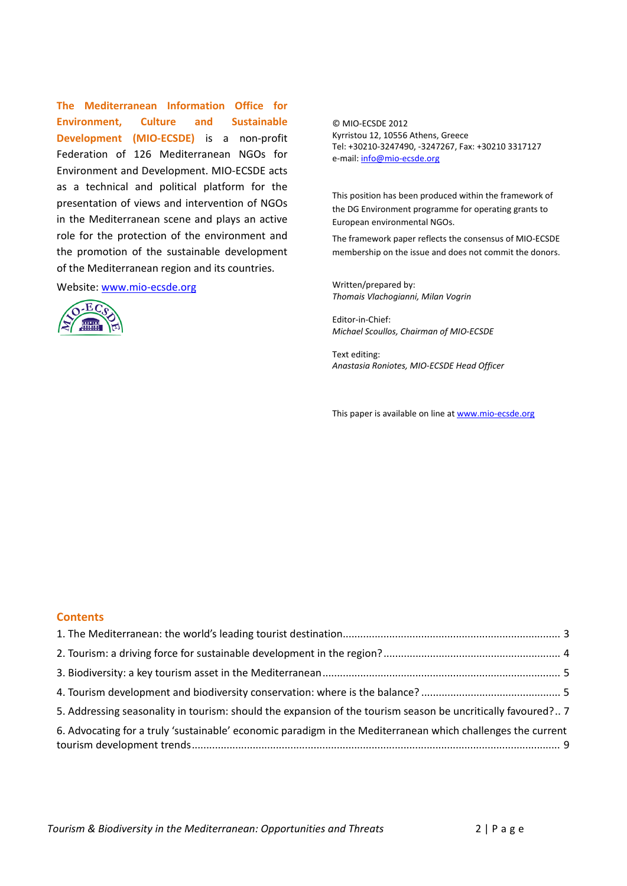**The Mediterranean Information Office for Environment, Culture and Sustainable Development (MIO‐ECSDE)** is a non‐profit Federation of 126 Mediterranean NGOs for Environment and Development. MIO‐ECSDE acts as a technical and political platform for the presentation of views and intervention of NGOs in the Mediterranean scene and plays an active role for the protection of the environment and the promotion of the sustainable development of the Mediterranean region and its countries.

Website: www.mio-ecsde.org



© MIO‐ECSDE 2012 Kyrristou 12, 10556 Athens, Greece Tel: +30210‐3247490, ‐3247267, Fax: +30210 3317127 e-mail: info@mio-ecsde.org

This position has been produced within the framework of the DG Environment programme for operating grants to European environmental NGOs.

The framework paper reflects the consensus of MIO‐ECSDE membership on the issue and does not commit the donors.

Written/prepared by: *Thomais Vlachogianni, Milan Vogrin*

Editor‐in‐Chief: *Michael Scoullos, Chairman of MIO‐ECSDE*

Text editing: *Anastasia Roniotes, MIO‐ECSDE Head Officer*

This paper is available on line at www.mio-ecsde.org

#### **Contents**

| 5. Addressing seasonality in tourism: should the expansion of the tourism season be uncritically favoured? 7 |  |
|--------------------------------------------------------------------------------------------------------------|--|
| 6. Advocating for a truly 'sustainable' economic paradigm in the Mediterranean which challenges the current  |  |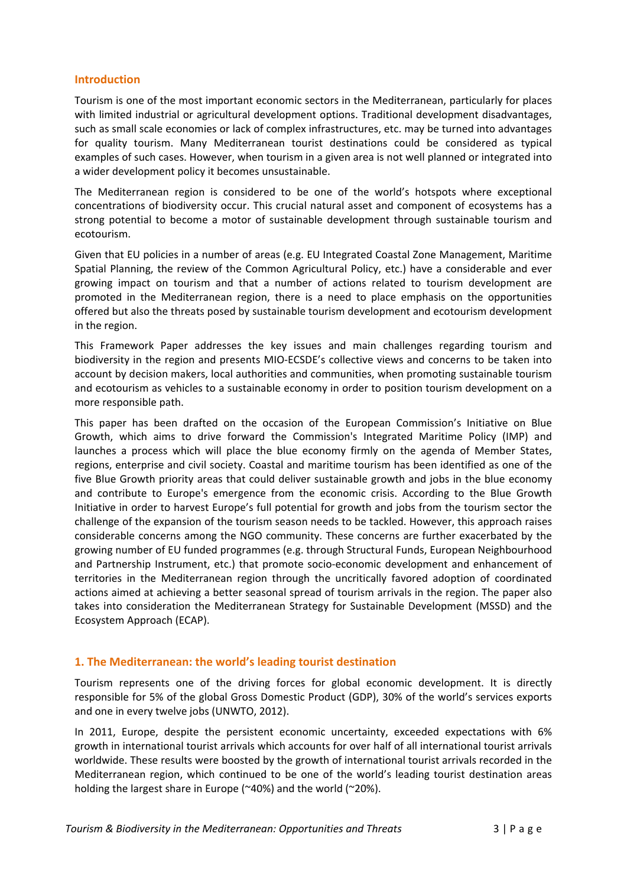## **Introduction**

Tourism is one of the most important economic sectors in the Mediterranean, particularly for places with limited industrial or agricultural development options. Traditional development disadvantages, such as small scale economies or lack of complex infrastructures, etc. may be turned into advantages for quality tourism. Many Mediterranean tourist destinations could be considered as typical examples of such cases. However, when tourism in a given area is not well planned or integrated into a wider development policy it becomes unsustainable.

The Mediterranean region is considered to be one of the world's hotspots where exceptional concentrations of biodiversity occur. This crucial natural asset and component of ecosystems has a strong potential to become a motor of sustainable development through sustainable tourism and ecotourism.

Given that EU policies in a number of areas (e.g. EU Integrated Coastal Zone Management, Maritime Spatial Planning, the review of the Common Agricultural Policy, etc.) have a considerable and ever growing impact on tourism and that a number of actions related to tourism development are promoted in the Mediterranean region, there is a need to place emphasis on the opportunities offered but also the threats posed by sustainable tourism development and ecotourism development in the region.

This Framework Paper addresses the key issues and main challenges regarding tourism and biodiversity in the region and presents MIO‐ECSDE's collective views and concerns to be taken into account by decision makers, local authorities and communities, when promoting sustainable tourism and ecotourism as vehicles to a sustainable economy in order to position tourism development on a more responsible path.

This paper has been drafted on the occasion of the European Commission's Initiative on Blue Growth, which aims to drive forward the Commission's Integrated Maritime Policy (IMP) and launches a process which will place the blue economy firmly on the agenda of Member States, regions, enterprise and civil society. Coastal and maritime tourism has been identified as one of the five Blue Growth priority areas that could deliver sustainable growth and jobs in the blue economy and contribute to Europe's emergence from the economic crisis. According to the Blue Growth Initiative in order to harvest Europe's full potential for growth and jobs from the tourism sector the challenge of the expansion of the tourism season needs to be tackled. However, this approach raises considerable concerns among the NGO community. These concerns are further exacerbated by the growing number of EU funded programmes (e.g. through Structural Funds, European Neighbourhood and Partnership Instrument, etc.) that promote socio‐economic development and enhancement of territories in the Mediterranean region through the uncritically favored adoption of coordinated actions aimed at achieving a better seasonal spread of tourism arrivals in the region. The paper also takes into consideration the Mediterranean Strategy for Sustainable Development (MSSD) and the Ecosystem Approach (ECAP).

# **1. The Mediterranean: the world's leading tourist destination**

Tourism represents one of the driving forces for global economic development. It is directly responsible for 5% of the global Gross Domestic Product (GDP), 30% of the world's services exports and one in every twelve jobs (UNWTO, 2012).

In 2011, Europe, despite the persistent economic uncertainty, exceeded expectations with 6% growth in international tourist arrivals which accounts for over half of all international tourist arrivals worldwide. These results were boosted by the growth of international tourist arrivals recorded in the Mediterranean region, which continued to be one of the world's leading tourist destination areas holding the largest share in Europe (~40%) and the world (~20%).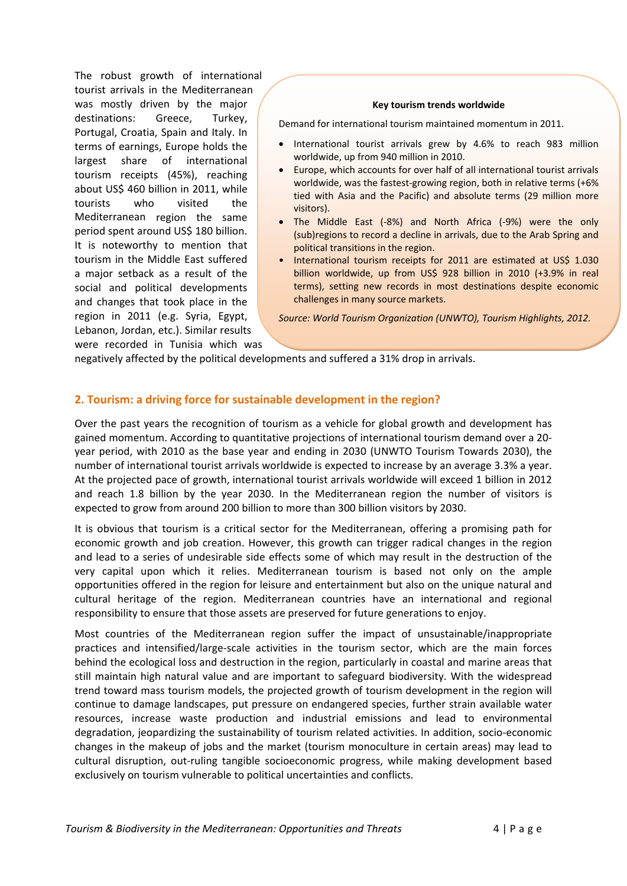The robust growth of international tourist arrivals in the Mediterranean was mostly driven by the major destinations: Greece, Turkey, Portugal, Croatia, Spain and Italy. In terms of earnings, Europe holds the largest share of international tourism receipts (45%), reaching about US\$ 460 billion in 2011, while tourists who visited the Mediterranean region the same period spent around US\$ 180 billion. It is noteworthy to mention that tourism in the Middle East suffered a major setback as a result of the social and political developments and changes that took place in the region in 2011 (e.g. Syria, Egypt, Lebanon, Jordan, etc.). Similar results were recorded in Tunisia which was

#### **Key tourism trends worldwide**

Demand for international tourism maintained momentum in 2011.

- International tourist arrivals grew by 4.6% to reach 983 million worldwide, up from 940 million in 2010.
- Europe, which accounts for over half of all international tourist arrivals worldwide, was the fastest-growing region, both in relative terms (+6%) tied with Asia and the Pacific) and absolute terms (29 million more visitors).
- The Middle East (‐8%) and North Africa (‐9%) were the only (sub)regions to record a decline in arrivals, due to the Arab Spring and political transitions in the region.
- International tourism receipts for 2011 are estimated at US\$ 1.030 billion worldwide, up from US\$ 928 billion in 2010 (+3.9% in real terms), setting new records in most destinations despite economic challenges in many source markets.

*Source: World Tourism Organization (UNWTO), Tourism Highlights, 2012.*

negatively affected by the political developments and suffered a 31% drop in arrivals.

## **2. Tourism: a driving force for sustainable development in the region?**

Over the past years the recognition of tourism as a vehicle for global growth and development has gained momentum. According to quantitative projections of international tourism demand over a 20‐ year period, with 2010 as the base year and ending in 2030 (UNWTO Tourism Towards 2030), the number of international tourist arrivals worldwide is expected to increase by an average 3.3% a year. At the projected pace of growth, international tourist arrivals worldwide will exceed 1 billion in 2012 and reach 1.8 billion by the year 2030. In the Mediterranean region the number of visitors is expected to grow from around 200 billion to more than 300 billion visitors by 2030.

It is obvious that tourism is a critical sector for the Mediterranean, offering a promising path for economic growth and job creation. However, this growth can trigger radical changes in the region and lead to a series of undesirable side effects some of which may result in the destruction of the very capital upon which it relies. Mediterranean tourism is based not only on the ample opportunities offered in the region for leisure and entertainment but also on the unique natural and cultural heritage of the region. Mediterranean countries have an international and regional responsibility to ensure that those assets are preserved for future generations to enjoy.

Most countries of the Mediterranean region suffer the impact of unsustainable/inappropriate practices and intensified/large‐scale activities in the tourism sector, which are the main forces behind the ecological loss and destruction in the region, particularly in coastal and marine areas that still maintain high natural value and are important to safeguard biodiversity. With the widespread trend toward mass tourism models, the projected growth of tourism development in the region will continue to damage landscapes, put pressure on endangered species, further strain available water resources, increase waste production and industrial emissions and lead to environmental degradation, jeopardizing the sustainability of tourism related activities. In addition, socio‐economic changes in the makeup of jobs and the market (tourism monoculture in certain areas) may lead to cultural disruption, out‐ruling tangible socioeconomic progress, while making development based exclusively on tourism vulnerable to political uncertainties and conflicts.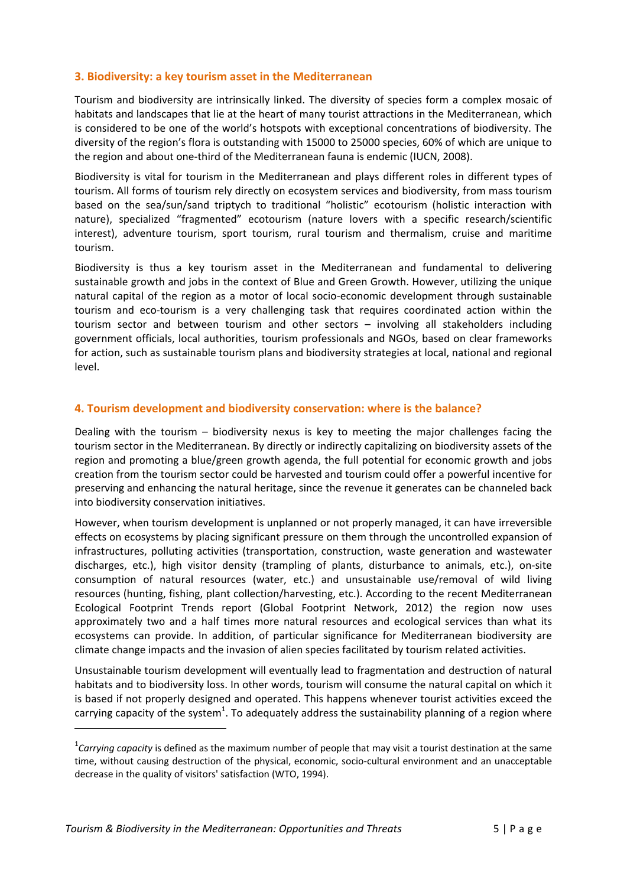# **3. Biodiversity: a key tourism asset in the Mediterranean**

Tourism and biodiversity are intrinsically linked. The diversity of species form a complex mosaic of habitats and landscapes that lie at the heart of many tourist attractions in the Mediterranean, which is considered to be one of the world's hotspots with exceptional concentrations of biodiversity. The diversity of the region's flora is outstanding with 15000 to 25000 species, 60% of which are unique to the region and about one‐third of the Mediterranean fauna is endemic (IUCN, 2008).

Biodiversity is vital for tourism in the Mediterranean and plays different roles in different types of tourism. All forms of tourism rely directly on ecosystem services and biodiversity, from mass tourism based on the sea/sun/sand triptych to traditional "holistic" ecotourism (holistic interaction with nature), specialized "fragmented" ecotourism (nature lovers with a specific research/scientific interest), adventure tourism, sport tourism, rural tourism and thermalism, cruise and maritime tourism.

Biodiversity is thus a key tourism asset in the Mediterranean and fundamental to delivering sustainable growth and jobs in the context of Blue and Green Growth. However, utilizing the unique natural capital of the region as a motor of local socio-economic development through sustainable tourism and eco‐tourism is a very challenging task that requires coordinated action within the tourism sector and between tourism and other sectors – involving all stakeholders including government officials, local authorities, tourism professionals and NGOs, based on clear frameworks for action, such as sustainable tourism plans and biodiversity strategies at local, national and regional level.

## **4. Tourism development and biodiversity conservation: where is the balance?**

Dealing with the tourism – biodiversity nexus is key to meeting the major challenges facing the tourism sector in the Mediterranean. By directly or indirectly capitalizing on biodiversity assets of the region and promoting a blue/green growth agenda, the full potential for economic growth and jobs creation from the tourism sector could be harvested and tourism could offer a powerful incentive for preserving and enhancing the natural heritage, since the revenue it generates can be channeled back into biodiversity conservation initiatives.

However, when tourism development is unplanned or not properly managed, it can have irreversible effects on ecosystems by placing significant pressure on them through the uncontrolled expansion of infrastructures, polluting activities (transportation, construction, waste generation and wastewater discharges, etc.), high visitor density (trampling of plants, disturbance to animals, etc.), on‐site consumption of natural resources (water, etc.) and unsustainable use/removal of wild living resources (hunting, fishing, plant collection/harvesting, etc.). According to the recent Mediterranean Ecological Footprint Trends report (Global Footprint Network, 2012) the region now uses approximately two and a half times more natural resources and ecological services than what its ecosystems can provide. In addition, of particular significance for Mediterranean biodiversity are climate change impacts and the invasion of alien species facilitated by tourism related activities.

Unsustainable tourism development will eventually lead to fragmentation and destruction of natural habitats and to biodiversity loss. In other words, tourism will consume the natural capital on which it is based if not properly designed and operated. This happens whenever tourist activities exceed the carrying capacity of the system<sup>1</sup>. To adequately address the sustainability planning of a region where

<sup>1</sup> *Carrying capacity* is defined as the maximum number of people that may visit a tourist destination at the same time, without causing destruction of the physical, economic, socio‐cultural environment and an unacceptable decrease in the quality of visitors' satisfaction (WTO, 1994).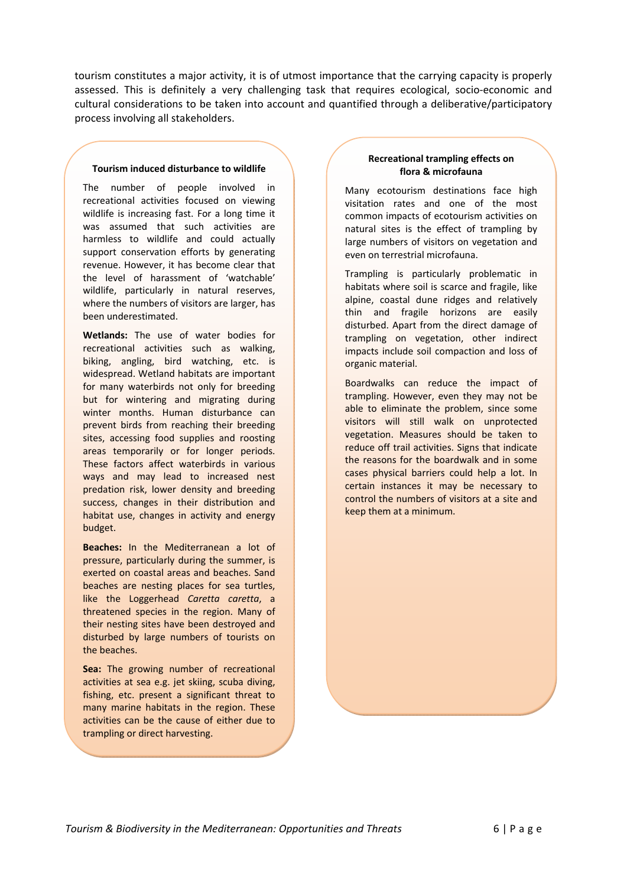tourism constitutes a major activity, it is of utmost importance that the carrying capacity is properly assessed. This is definitely a very challenging task that requires ecological, socio‐economic and cultural considerations to be taken into account and quantified through a deliberative/participatory process involving all stakeholders.

#### **Tourism induced disturbance to wildlife**

The number of people involved in recreational activities focused on viewing wildlife is increasing fast. For a long time it was assumed that such activities are harmless to wildlife and could actually support conservation efforts by generating revenue. However, it has become clear that the level of harassment of 'watchable' wildlife, particularly in natural reserves, where the numbers of visitors are larger, has been underestimated.

**Wetlands:** The use of water bodies for recreational activities such as walking, biking, angling, bird watching, etc. is widespread. Wetland habitats are important for many waterbirds not only for breeding but for wintering and migrating during winter months. Human disturbance can prevent birds from reaching their breeding sites, accessing food supplies and roosting areas temporarily or for longer periods. These factors affect waterbirds in various ways and may lead to increased nest predation risk, lower density and breeding success, changes in their distribution and habitat use, changes in activity and energy budget.

**Beaches:** In the Mediterranean a lot of pressure, particularly during the summer, is exerted on coastal areas and beaches. Sand beaches are nesting places for sea turtles, like the Loggerhead *Caretta caretta*, a threatened species in the region. Many of their nesting sites have been destroyed and disturbed by large numbers of tourists on the beaches.

**Sea:** The growing number of recreational activities at sea e.g. jet skiing, scuba diving, fishing, etc. present a significant threat to many marine habitats in the region. These activities can be the cause of either due to trampling or direct harvesting.

#### **Recreational trampling effects on flora & microfauna**

Many ecotourism destinations face high visitation rates and one of the most common impacts of ecotourism activities on natural sites is the effect of trampling by large numbers of visitors on vegetation and even on terrestrial microfauna.

Trampling is particularly problematic in habitats where soil is scarce and fragile, like alpine, coastal dune ridges and relatively thin and fragile horizons are easily disturbed. Apart from the direct damage of trampling on vegetation, other indirect impacts include soil compaction and loss of organic material.

Boardwalks can reduce the impact of trampling. However, even they may not be able to eliminate the problem, since some visitors will still walk on unprotected vegetation. Measures should be taken to reduce off trail activities. Signs that indicate the reasons for the boardwalk and in some cases physical barriers could help a lot. In certain instances it may be necessary to control the numbers of visitors at a site and keep them at a minimum.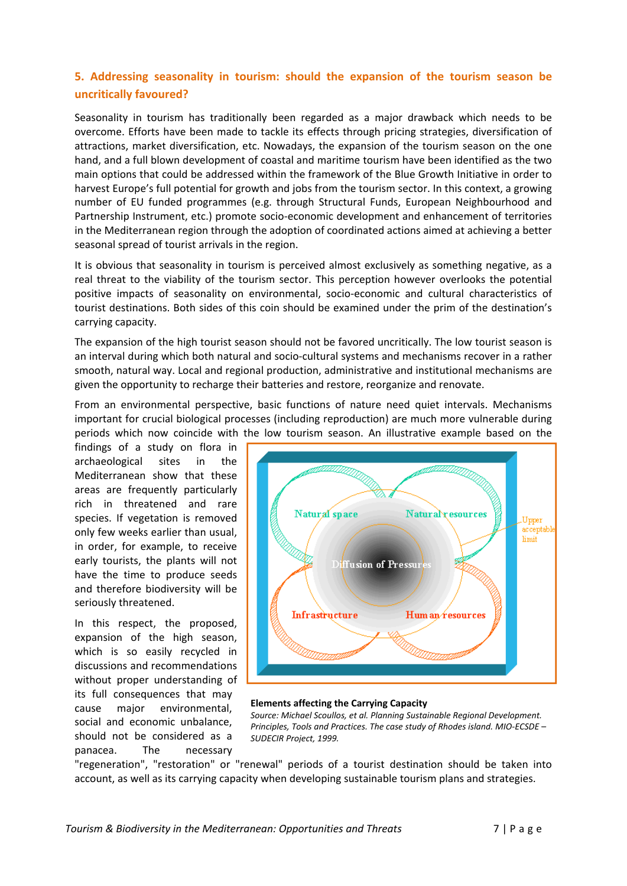# **5. Addressing seasonality in tourism: should the expansion of the tourism season be uncritically favoured?**

Seasonality in tourism has traditionally been regarded as a major drawback which needs to be overcome. Efforts have been made to tackle its effects through pricing strategies, diversification of attractions, market diversification, etc. Nowadays, the expansion of the tourism season on the one hand, and a full blown development of coastal and maritime tourism have been identified as the two main options that could be addressed within the framework of the Blue Growth Initiative in order to harvest Europe's full potential for growth and jobs from the tourism sector. In this context, a growing number of EU funded programmes (e.g. through Structural Funds, European Neighbourhood and Partnership Instrument, etc.) promote socio‐economic development and enhancement of territories in the Mediterranean region through the adoption of coordinated actions aimed at achieving a better seasonal spread of tourist arrivals in the region.

It is obvious that seasonality in tourism is perceived almost exclusively as something negative, as a real threat to the viability of the tourism sector. This perception however overlooks the potential positive impacts of seasonality on environmental, socio‐economic and cultural characteristics of tourist destinations. Both sides of this coin should be examined under the prim of the destination's carrying capacity.

The expansion of the high tourist season should not be favored uncritically. The low tourist season is an interval during which both natural and socio‐cultural systems and mechanisms recover in a rather smooth, natural way. Local and regional production, administrative and institutional mechanisms are given the opportunity to recharge their batteries and restore, reorganize and renovate.

From an environmental perspective, basic functions of nature need quiet intervals. Mechanisms important for crucial biological processes (including reproduction) are much more vulnerable during periods which now coincide with the low tourism season. An illustrative example based on the

findings of a study on flora in archaeological sites in the Mediterranean show that these areas are frequently particularly rich in threatened and rare species. If vegetation is removed only few weeks earlier than usual, in order, for example, to receive early tourists, the plants will not have the time to produce seeds and therefore biodiversity will be seriously threatened.

In this respect, the proposed, expansion of the high season, which is so easily recycled in discussions and recommendations without proper understanding of its full consequences that may cause major environmental, social and economic unbalance, should not be considered as a panacea. The necessary



#### **Elements affecting the Carrying Capacity**

*Source: Michael Scoullos, et al. Planning Sustainable Regional Development. Principles, Tools and Practices. The case study of Rhodes island. MIO‐ECSDE – SUDECIR Project, 1999.*

"regeneration", "restoration" or "renewal" periods of a tourist destination should be taken into account, as well as its carrying capacity when developing sustainable tourism plans and strategies.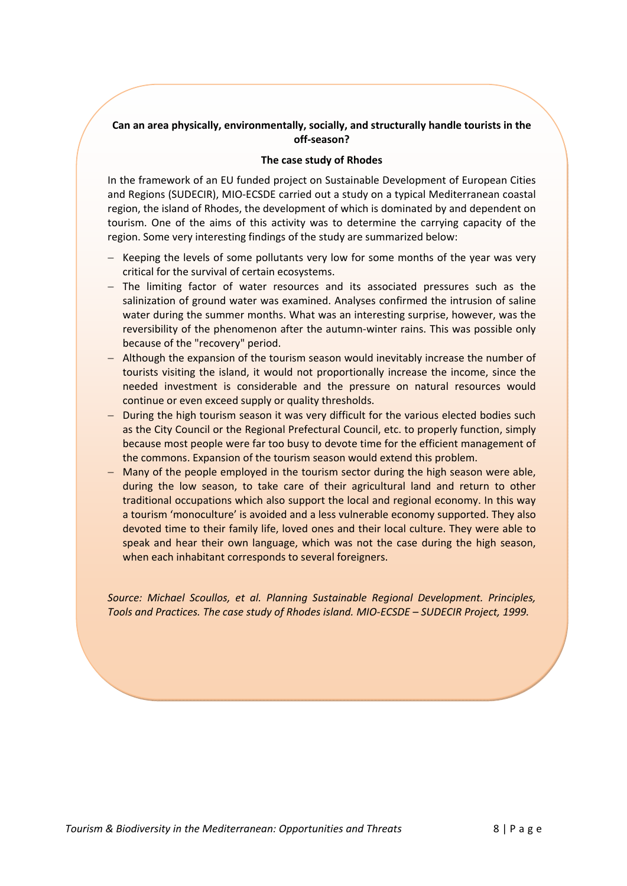# **Can an area physically, environmentally, socially, and structurally handle tourists in the off‐season?**

#### **The case study of Rhodes**

In the framework of an EU funded project on Sustainable Development of European Cities and Regions (SUDECIR), MIO‐ECSDE carried out a study on a typical Mediterranean coastal region, the island of Rhodes, the development of which is dominated by and dependent on tourism. One of the aims of this activity was to determine the carrying capacity of the region. Some very interesting findings of the study are summarized below:

- − Keeping the levels of some pollutants very low for some months of the year was very critical for the survival of certain ecosystems.
- − The limiting factor of water resources and its associated pressures such as the salinization of ground water was examined. Analyses confirmed the intrusion of saline water during the summer months. What was an interesting surprise, however, was the reversibility of the phenomenon after the autumn‐winter rains. This was possible only because of the "recovery" period.
- − Although the expansion of the tourism season would inevitably increase the number of tourists visiting the island, it would not proportionally increase the income, since the needed investment is considerable and the pressure on natural resources would continue or even exceed supply or quality thresholds.
- − During the high tourism season it was very difficult for the various elected bodies such as the City Council or the Regional Prefectural Council, etc. to properly function, simply because most people were far too busy to devote time for the efficient management of the commons. Expansion of the tourism season would extend this problem.
- − Many of the people employed in the tourism sector during the high season were able, during the low season, to take care of their agricultural land and return to other traditional occupations which also support the local and regional economy. In this way a tourism 'monoculture' is avoided and a less vulnerable economy supported. They also devoted time to their family life, loved ones and their local culture. They were able to speak and hear their own language, which was not the case during the high season, when each inhabitant corresponds to several foreigners.

*Source: Michael Scoullos, et al. Planning Sustainable Regional Development. Principles, Tools and Practices. The case study of Rhodes island. MIO‐ECSDE – SUDECIR Project, 1999.*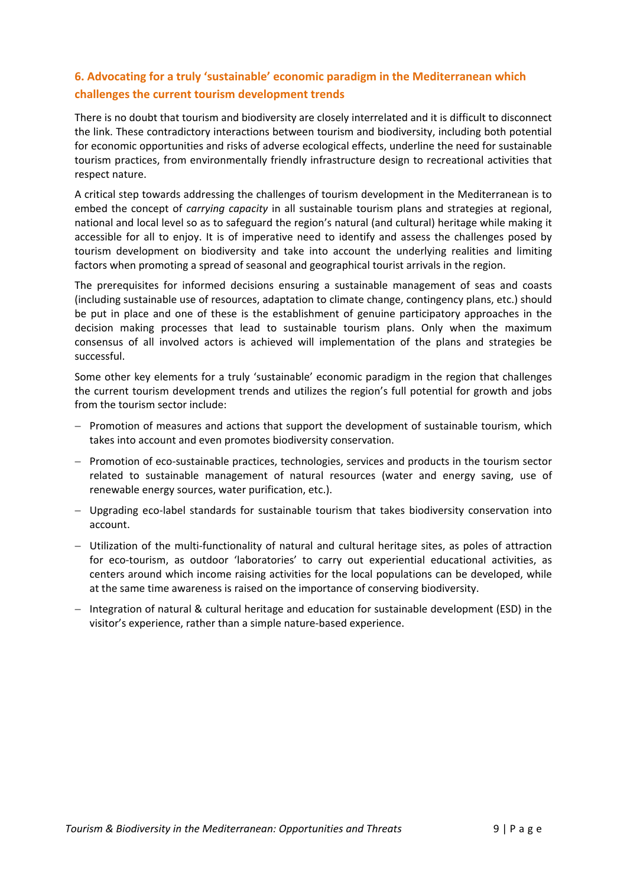# **6. Advocating for a truly 'sustainable' economic paradigm in the Mediterranean which challenges the current tourism development trends**

There is no doubt that tourism and biodiversity are closely interrelated and it is difficult to disconnect the link. These contradictory interactions between tourism and biodiversity, including both potential for economic opportunities and risks of adverse ecological effects, underline the need for sustainable tourism practices, from environmentally friendly infrastructure design to recreational activities that respect nature.

A critical step towards addressing the challenges of tourism development in the Mediterranean is to embed the concept of *carrying capacity* in all sustainable tourism plans and strategies at regional, national and local level so as to safeguard the region's natural (and cultural) heritage while making it accessible for all to enjoy. It is of imperative need to identify and assess the challenges posed by tourism development on biodiversity and take into account the underlying realities and limiting factors when promoting a spread of seasonal and geographical tourist arrivals in the region.

The prerequisites for informed decisions ensuring a sustainable management of seas and coasts (including sustainable use of resources, adaptation to climate change, contingency plans, etc.) should be put in place and one of these is the establishment of genuine participatory approaches in the decision making processes that lead to sustainable tourism plans. Only when the maximum consensus of all involved actors is achieved will implementation of the plans and strategies be successful.

Some other key elements for a truly 'sustainable' economic paradigm in the region that challenges the current tourism development trends and utilizes the region's full potential for growth and jobs from the tourism sector include:

- − Promotion of measures and actions that support the development of sustainable tourism, which takes into account and even promotes biodiversity conservation.
- − Promotion of eco‐sustainable practices, technologies, services and products in the tourism sector related to sustainable management of natural resources (water and energy saving, use of renewable energy sources, water purification, etc.).
- − Upgrading eco‐label standards for sustainable tourism that takes biodiversity conservation into account.
- − Utilization of the multi‐functionality of natural and cultural heritage sites, as poles of attraction for eco-tourism, as outdoor 'laboratories' to carry out experiential educational activities, as centers around which income raising activities for the local populations can be developed, while at the same time awareness is raised on the importance of conserving biodiversity.
- − Integration of natural & cultural heritage and education for sustainable development (ESD) in the visitor's experience, rather than a simple nature‐based experience.